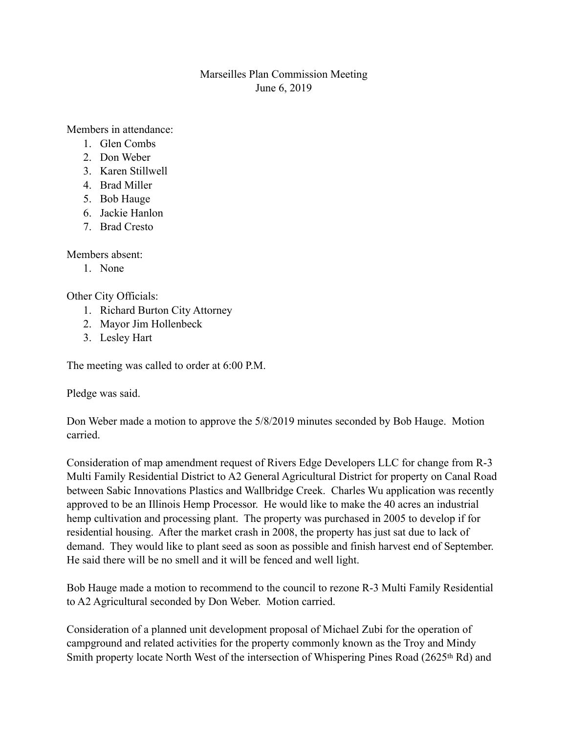## Marseilles Plan Commission Meeting June 6, 2019

Members in attendance:

- 1. Glen Combs
- 2. Don Weber
- 3. Karen Stillwell
- 4. Brad Miller
- 5. Bob Hauge
- 6. Jackie Hanlon
- 7. Brad Cresto

Members absent:

1. None

Other City Officials:

- 1. Richard Burton City Attorney
- 2. Mayor Jim Hollenbeck
- 3. Lesley Hart

The meeting was called to order at 6:00 P.M.

Pledge was said.

Don Weber made a motion to approve the 5/8/2019 minutes seconded by Bob Hauge. Motion carried.

Consideration of map amendment request of Rivers Edge Developers LLC for change from R-3 Multi Family Residential District to A2 General Agricultural District for property on Canal Road between Sabic Innovations Plastics and Wallbridge Creek. Charles Wu application was recently approved to be an Illinois Hemp Processor. He would like to make the 40 acres an industrial hemp cultivation and processing plant. The property was purchased in 2005 to develop if for residential housing. After the market crash in 2008, the property has just sat due to lack of demand. They would like to plant seed as soon as possible and finish harvest end of September. He said there will be no smell and it will be fenced and well light.

Bob Hauge made a motion to recommend to the council to rezone R-3 Multi Family Residential to A2 Agricultural seconded by Don Weber. Motion carried.

Consideration of a planned unit development proposal of Michael Zubi for the operation of campground and related activities for the property commonly known as the Troy and Mindy Smith property locate North West of the intersection of Whispering Pines Road (2625<sup>th</sup> Rd) and